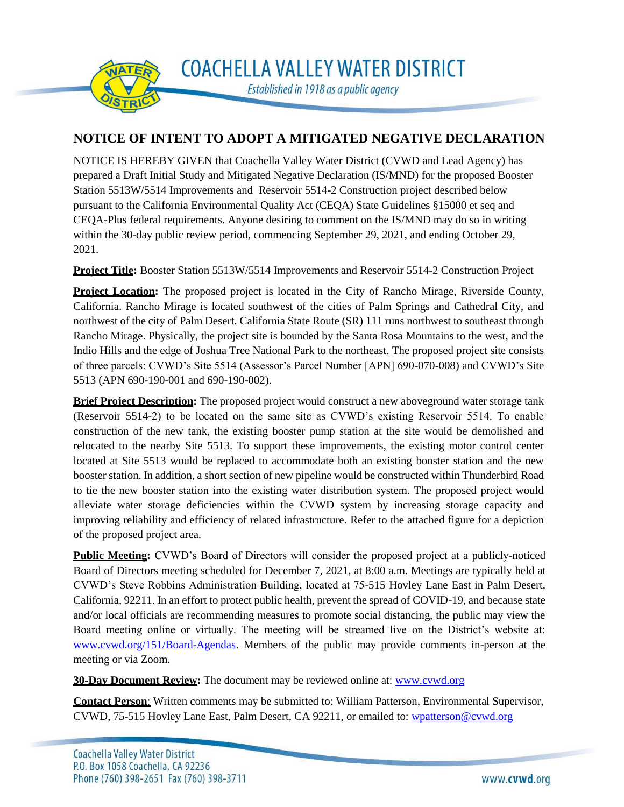

**NOTICE OF INTENT TO ADOPT A MITIGATED NEGATIVE DECLARATION**

NOTICE IS HEREBY GIVEN that Coachella Valley Water District (CVWD and Lead Agency) has prepared a Draft Initial Study and Mitigated Negative Declaration (IS/MND) for the proposed Booster Station 5513W/5514 Improvements and Reservoir 5514-2 Construction project described below pursuant to the California Environmental Quality Act (CEQA) State Guidelines §15000 et seq and CEQA-Plus federal requirements. Anyone desiring to comment on the IS/MND may do so in writing within the 30-day public review period, commencing September 29, 2021, and ending October 29, 2021.

**Project Title:** Booster Station 5513W/5514 Improvements and Reservoir 5514-2 Construction Project

**Project Location:** The proposed project is located in the City of Rancho Mirage, Riverside County, California. Rancho Mirage is located southwest of the cities of Palm Springs and Cathedral City, and northwest of the city of Palm Desert. California State Route (SR) 111 runs northwest to southeast through Rancho Mirage. Physically, the project site is bounded by the Santa Rosa Mountains to the west, and the Indio Hills and the edge of Joshua Tree National Park to the northeast. The proposed project site consists of three parcels: CVWD's Site 5514 (Assessor's Parcel Number [APN] 690-070-008) and CVWD's Site 5513 (APN 690-190-001 and 690-190-002).

**Brief Project Description:** The proposed project would construct a new aboveground water storage tank (Reservoir 5514-2) to be located on the same site as CVWD's existing Reservoir 5514. To enable construction of the new tank, the existing booster pump station at the site would be demolished and relocated to the nearby Site 5513. To support these improvements, the existing motor control center located at Site 5513 would be replaced to accommodate both an existing booster station and the new booster station. In addition, a short section of new pipeline would be constructed within Thunderbird Road to tie the new booster station into the existing water distribution system. The proposed project would alleviate water storage deficiencies within the CVWD system by increasing storage capacity and improving reliability and efficiency of related infrastructure. Refer to the attached figure for a depiction of the proposed project area.

**Public Meeting:** CVWD's Board of Directors will consider the proposed project at a publicly-noticed Board of Directors meeting scheduled for December 7, 2021, at 8:00 a.m. Meetings are typically held at CVWD's Steve Robbins Administration Building, located at 75-515 Hovley Lane East in Palm Desert, California, 92211. In an effort to protect public health, prevent the spread of COVID-19, and because state and/or local officials are recommending measures to promote social distancing, the public may view the Board meeting online or virtually. The meeting will be streamed live on the District's website at: [www.cvwd.org/151/Board-Agendas.](http://www.cvwd.org/151/Board-Agendas) Members of the public may provide comments in-person at the meeting or via Zoom.

**30-Day Document Review:** The document may be reviewed online at: [www.cvwd.org](http://www.cvwd.org/)

**Contact Person**: Written comments may be submitted to: William Patterson, Environmental Supervisor, CVWD, 75-515 Hovley Lane East, Palm Desert, CA 92211, or emailed to: [wpatterson@cvwd.org](mailto:wpatterson@cvwd.org)